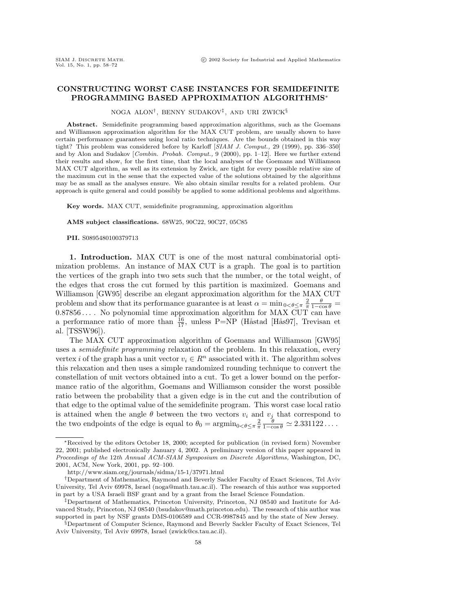## **CONSTRUCTING WORST CASE INSTANCES FOR SEMIDEFINITE PROGRAMMING BASED APPROXIMATION ALGORITHMS**<sup>∗</sup>

NOGA ALON†, BENNY SUDAKOV‡, AND URI ZWICK§

**Abstract.** Semidefinite programming based approximation algorithms, such as the Goemans and Williamson approximation algorithm for the MAX CUT problem, are usually shown to have certain performance guarantees using local ratio techniques. Are the bounds obtained in this way tight? This problem was considered before by Karloff [SIAM J. Comput., 29 (1999), pp. 336–350] and by Alon and Sudakov [Combin. Probab. Comput., 9 (2000), pp. 1-12]. Here we further extend their results and show, for the first time, that the local analyses of the Goemans and Williamson MAX CUT algorithm, as well as its extension by Zwick, are tight for every possible relative size of the maximum cut in the sense that the expected value of the solutions obtained by the algorithms may be as small as the analyses ensure. We also obtain similar results for a related problem. Our approach is quite general and could possibly be applied to some additional problems and algorithms.

**Key words.** MAX CUT, semidefinite programming, approximation algorithm

**AMS subject classifications.** 68W25, 90C22, 90C27, 05C85

**PII.** S0895480100379713

**1. Introduction.** MAX CUT is one of the most natural combinatorial optimization problems. An instance of MAX CUT is a graph. The goal is to partition the vertices of the graph into two sets such that the number, or the total weight, of the edges that cross the cut formed by this partition is maximized. Goemans and Williamson [GW95] describe an elegant approximation algorithm for the MAX CUT problem and show that its performance guarantee is at least  $\alpha = \min_{0 \le \theta \le \pi} \frac{2}{\pi} \frac{\theta}{1 - \cos \theta} =$  $0.87856...$  No polynomial time approximation algorithm for MAX CUT can have a performance ratio of more than  $\frac{16}{17}$ , unless P=NP (Håstad [Hås97], Trevisan et al. [TSSW96]).

The MAX CUT approximation algorithm of Goemans and Williamson [GW95] uses a semidefinite programming relaxation of the problem. In this relaxation, every vertex *i* of the graph has a unit vector  $v_i \in R^n$  associated with it. The algorithm solves this relaxation and then uses a simple randomized rounding technique to convert the constellation of unit vectors obtained into a cut. To get a lower bound on the performance ratio of the algorithm, Goemans and Williamson consider the worst possible ratio between the probability that a given edge is in the cut and the contribution of that edge to the optimal value of the semidefinite program. This worst case local ratio is attained when the angle  $\theta$  between the two vectors  $v_i$  and  $v_j$  that correspond to the two endpoints of the edge is equal to  $\theta_0 = \operatorname{argmin}_{0 < \theta \leq \pi} \frac{2}{\pi} \frac{\theta}{1 - \cos \theta} \simeq 2.331122...$ 

<sup>∗</sup>Received by the editors October 18, 2000; accepted for publication (in revised form) November 22, 2001; published electronically January 4, 2002. A preliminary version of this paper appeared in Proceedings of the 12th Annual ACM-SIAM Symposium on Discrete Algorithms, Washington, DC, 2001, ACM, New York, 2001, pp. 92–100.

http://www.siam.org/journals/sidma/15-1/37971.html

<sup>†</sup>Department of Mathematics, Raymond and Beverly Sackler Faculty of Exact Sciences, Tel Aviv University, Tel Aviv 69978, Israel (noga@math.tau.ac.il). The research of this author was supported in part by a USA Israeli BSF grant and by a grant from the Israel Science Foundation.

<sup>‡</sup>Department of Mathematics, Princeton University, Princeton, NJ 08540 and Institute for Advanced Study, Princeton, NJ 08540 (bsudakov@math.princeton.edu). The research of this author was supported in part by NSF grants DMS-0106589 and CCR-9987845 and by the state of New Jersey.

<sup>§</sup>Department of Computer Science, Raymond and Beverly Sackler Faculty of Exact Sciences, Tel Aviv University, Tel Aviv 69978, Israel (zwick@cs.tau.ac.il).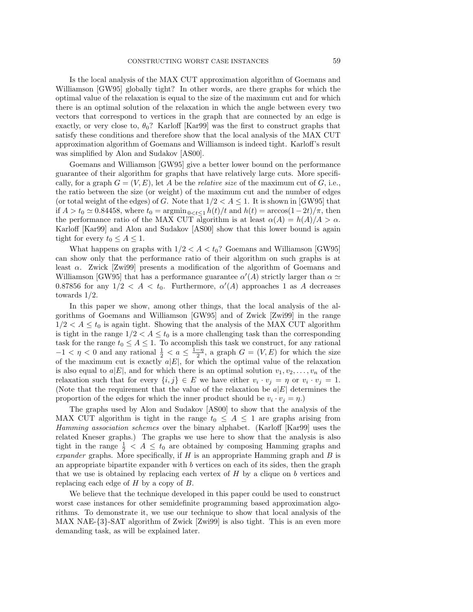Is the local analysis of the MAX CUT approximation algorithm of Goemans and Williamson [GW95] globally tight? In other words, are there graphs for which the optimal value of the relaxation is equal to the size of the maximum cut and for which there is an optimal solution of the relaxation in which the angle between every two vectors that correspond to vertices in the graph that are connected by an edge is exactly, or very close to,  $\theta_0$ ? Karloff [Kar99] was the first to construct graphs that satisfy these conditions and therefore show that the local analysis of the MAX CUT approximation algorithm of Goemans and Williamson is indeed tight. Karloff's result was simplified by Alon and Sudakov [AS00].

Goemans and Williamson [GW95] give a better lower bound on the performance guarantee of their algorithm for graphs that have relatively large cuts. More specifically, for a graph  $G = (V, E)$ , let A be the *relative size* of the maximum cut of G, i.e., the ratio between the size (or weight) of the maximum cut and the number of edges (or total weight of the edges) of G. Note that  $1/2 < A \leq 1$ . It is shown in [GW95] that if  $A > t_0 \simeq 0.84458$ , where  $t_0 = \operatorname{argmin}_{0 < t \le 1} h(t)/t$  and  $h(t) = \arccos(1-2t)/\pi$ , then the performance ratio of the MAX CUT algorithm is at least  $\alpha(A) = h(A)/A > \alpha$ . Karloff [Kar99] and Alon and Sudakov [AS00] show that this lower bound is again tight for every  $t_0 \leq A \leq 1$ .

What happens on graphs with  $1/2 < A < t_0$ ? Goemans and Williamson [GW95] can show only that the performance ratio of their algorithm on such graphs is at least α. Zwick [Zwi99] presents a modification of the algorithm of Goemans and Williamson [GW95] that has a performance guarantee  $\alpha'(A)$  strictly larger than  $\alpha \simeq$ 0.87856 for any  $1/2 < A < t_0$ . Furthermore,  $\alpha'(A)$  approaches 1 as A decreases towards 1/2.

In this paper we show, among other things, that the local analysis of the algorithms of Goemans and Williamson [GW95] and of Zwick [Zwi99] in the range  $1/2 < A \le t_0$  is again tight. Showing that the analysis of the MAX CUT algorithm is tight in the range  $1/2 < A \le t_0$  is a more challenging task than the corresponding task for the range  $t_0 \leq A \leq 1$ . To accomplish this task we construct, for any rational  $-1 < \eta < 0$  and any rational  $\frac{1}{2} < a \leq \frac{1-\eta}{2}$ , a graph  $G = (V, E)$  for which the size of the maximum cut is exactly  $a|E|$ , for which the optimal value of the relaxation is also equal to  $a|E|$ , and for which there is an optimal solution  $v_1, v_2, \ldots, v_n$  of the relaxation such that for every  $\{i, j\} \in E$  we have either  $v_i \cdot v_j = \eta$  or  $v_i \cdot v_j = 1$ . (Note that the requirement that the value of the relaxation be  $a|E|$  determines the proportion of the edges for which the inner product should be  $v_i \cdot v_j = \eta$ .)

The graphs used by Alon and Sudakov [AS00] to show that the analysis of the MAX CUT algorithm is tight in the range  $t_0 \leq A \leq 1$  are graphs arising from Hamming association schemes over the binary alphabet. (Karloff [Kar99] uses the related Kneser graphs.) The graphs we use here to show that the analysis is also tight in the range  $\frac{1}{2}$  < A  $\leq t_0$  are obtained by composing Hamming graphs and expander graphs. More specifically, if  $H$  is an appropriate Hamming graph and  $B$  is an appropriate bipartite expander with  $b$  vertices on each of its sides, then the graph that we use is obtained by replacing each vertex of  $H$  by a clique on  $b$  vertices and replacing each edge of  $H$  by a copy of  $B$ .

We believe that the technique developed in this paper could be used to construct worst case instances for other semidefinite programming based approximation algorithms. To demonstrate it, we use our technique to show that local analysis of the MAX NAE-{3}-SAT algorithm of Zwick [Zwi99] is also tight. This is an even more demanding task, as will be explained later.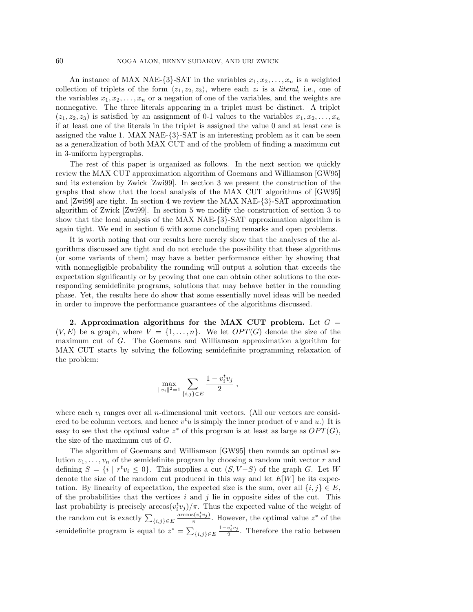An instance of MAX NAE-{3}-SAT in the variables  $x_1, x_2, \ldots, x_n$  is a weighted collection of triplets of the form  $\langle z_1, z_2, z_3 \rangle$ , where each  $z_i$  is a *literal*, i.e., one of the variables  $x_1, x_2, \ldots, x_n$  or a negation of one of the variables, and the weights are nonnegative. The three literals appearing in a triplet must be distinct. A triplet  $(z_1, z_2, z_3)$  is satisfied by an assignment of 0-1 values to the variables  $x_1, x_2, \ldots, x_n$ if at least one of the literals in the triplet is assigned the value 0 and at least one is assigned the value 1. MAX NAE-{3}-SAT is an interesting problem as it can be seen as a generalization of both MAX CUT and of the problem of finding a maximum cut in 3-uniform hypergraphs.

The rest of this paper is organized as follows. In the next section we quickly review the MAX CUT approximation algorithm of Goemans and Williamson [GW95] and its extension by Zwick [Zwi99]. In section 3 we present the construction of the graphs that show that the local analysis of the MAX CUT algorithms of [GW95] and [Zwi99] are tight. In section 4 we review the MAX NAE-{3}-SAT approximation algorithm of Zwick [Zwi99]. In section 5 we modify the construction of section 3 to show that the local analysis of the MAX NAE-{3}-SAT approximation algorithm is again tight. We end in section 6 with some concluding remarks and open problems.

It is worth noting that our results here merely show that the analyses of the algorithms discussed are tight and do not exclude the possibility that these algorithms (or some variants of them) may have a better performance either by showing that with nonnegligible probability the rounding will output a solution that exceeds the expectation significantly or by proving that one can obtain other solutions to the corresponding semidefinite programs, solutions that may behave better in the rounding phase. Yet, the results here do show that some essentially novel ideas will be needed in order to improve the performance guarantees of the algorithms discussed.

**2. Approximation algorithms for the MAX CUT problem.** Let  $G =$  $(V, E)$  be a graph, where  $V = \{1, \ldots, n\}$ . We let  $OPT(G)$  denote the size of the maximum cut of G. The Goemans and Williamson approximation algorithm for MAX CUT starts by solving the following semidefinite programming relaxation of the problem:

$$
\max_{\|v_i\|^2=1} \sum_{\{i,j\} \in E} \frac{1 - v_i^t v_j}{2} ,
$$

where each  $v_i$  ranges over all *n*-dimensional unit vectors. (All our vectors are considered to be column vectors, and hence  $v<sup>t</sup>u$  is simply the inner product of v and u.) It is easy to see that the optimal value  $z^*$  of this program is at least as large as  $OPT(G)$ , the size of the maximum cut of G.

The algorithm of Goemans and Williamson [GW95] then rounds an optimal solution  $v_1, \ldots, v_n$  of the semidefinite program by choosing a random unit vector r and defining  $S = \{i \mid r^t v_i \leq 0\}$ . This supplies a cut  $(S, V-S)$  of the graph G. Let W denote the size of the random cut produced in this way and let  $E[W]$  be its expectation. By linearity of expectation, the expected size is the sum, over all  $\{i, j\} \in E$ , of the probabilities that the vertices  $i$  and  $j$  lie in opposite sides of the cut. This last probability is precisely  $arccos(v_i^t v_j)/\pi$ . Thus the expected value of the weight of the random cut is exactly  $\sum_{\{i,j\}\in E} \frac{\arccos(v_i^t v_j)}{\pi}$ . However, the optimal value  $z^*$  of the semidefinite program is equal to  $z^* = \sum_{\{i,j\} \in E} \frac{1 - v_i^t v_j}{2}$ . Therefore the ratio between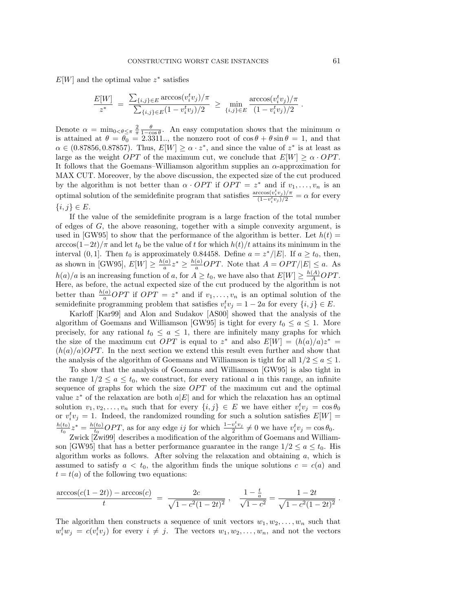$E[W]$  and the optimal value  $z^*$  satisfies

$$
\frac{E[W]}{z^*} = \frac{\sum_{\{i,j\} \in E} \arccos(v_i^t v_j) / \pi}{\sum_{\{i,j\} \in E} (1 - v_i^t v_j) / 2} \ge \min_{\{i,j\} \in E} \frac{\arccos(v_i^t v_j) / \pi}{(1 - v_i^t v_j) / 2}.
$$

Denote  $\alpha = \min_{0 \le \theta \le \pi} \frac{2}{\pi} \frac{\theta}{1 - \cos \theta}$ . An easy computation shows that the minimum  $\alpha$ is attained at  $\theta = \theta_0 = 2.3311...$ , the nonzero root of  $\cos \theta + \theta \sin \theta = 1$ , and that  $\alpha \in (0.87856, 0.87857)$ . Thus,  $E[W] \ge \alpha \cdot z^*$ , and since the value of  $z^*$  is at least as large as the weight OPT of the maximum cut, we conclude that  $E[W] \ge \alpha \cdot OPT$ . It follows that the Goemans–Williamson algorithm supplies an  $\alpha$ -approximation for MAX CUT. Moreover, by the above discussion, the expected size of the cut produced by the algorithm is not better than  $\alpha \cdot OPT$  if  $OPT = z^*$  and if  $v_1, \ldots, v_n$  is an optimal solution of the semidefinite program that satisfies  $\frac{\arccos(v_i^tv_j)/\pi}{(1-v_i^tv_j)/2} = \alpha$  for every  ${i, j} \in E$ .

If the value of the semidefinite program is a large fraction of the total number of edges of G, the above reasoning, together with a simple convexity argument, is used in [GW95] to show that the performance of the algorithm is better. Let  $h(t)$  =  $\arccos(1-2t)/\pi$  and let  $t_0$  be the value of t for which  $h(t)/t$  attains its minimum in the interval (0, 1]. Then  $t_0$  is approximately 0.84458. Define  $a = z^*/|E|$ . If  $a \ge t_0$ , then, as shown in [GW95],  $E[W] \geq \frac{h(a)}{a} z^* \geq \frac{h(a)}{a} OPT$ . Note that  $A = OPT/|E| \leq a$ . As  $h(a)/a$  is an increasing function of a, for  $A \ge t_0$ , we have also that  $E[W] \ge \frac{h(A)}{A}OPT$ . Here, as before, the actual expected size of the cut produced by the algorithm is not better than  $\frac{h(a)}{a}OPT$  if  $OPT = z^*$  and if  $v_1, \ldots, v_n$  is an optimal solution of the semidefinite programming problem that satisfies  $v_i^t v_j = 1 - 2a$  for every  $\{i, j\} \in E$ .

Karloff [Kar99] and Alon and Sudakov [AS00] showed that the analysis of the algorithm of Goemans and Williamson [GW95] is tight for every  $t_0 \leq a \leq 1$ . More precisely, for any rational  $t_0 \leq a \leq 1$ , there are infinitely many graphs for which the size of the maximum cut *OPT* is equal to  $z^*$  and also  $E[W] = (h(a)/a)z^* =$  $(h(a)/a)OPT$ . In the next section we extend this result even further and show that the analysis of the algorithm of Goemans and Williamson is tight for all  $1/2 \le a \le 1$ .

To show that the analysis of Goemans and Williamson [GW95] is also tight in the range  $1/2 \le a \le t_0$ , we construct, for every rational a in this range, an infinite sequence of graphs for which the size  $OPT$  of the maximum cut and the optimal value  $z^*$  of the relaxation are both  $a|E|$  and for which the relaxation has an optimal solution  $v_1, v_2, \ldots, v_n$  such that for every  $\{i, j\} \in E$  we have either  $v_i^t v_j = \cos \theta_0$ or  $v_i^t v_j = 1$ . Indeed, the randomized rounding for such a solution satisfies  $E[W] =$  $\frac{h(t_0)}{t_0}z^* = \frac{h(t_0)}{t_0}OPT$ , as for any edge ij for which  $\frac{1-v_i^tv_j}{2} \neq 0$  we have  $v_i^tv_j = \cos\theta_0$ .

Zwick [Zwi99] describes a modification of the algorithm of Goemans and Williamson [GW95] that has a better performance guarantee in the range  $1/2 \le a \le t_0$ . His algorithm works as follows. After solving the relaxation and obtaining  $a$ , which is assumed to satisfy  $a < t_0$ , the algorithm finds the unique solutions  $c = c(a)$  and  $t = t(a)$  of the following two equations:

$$
\frac{\arccos(c(1-2t)) - \arccos(c)}{t} = \frac{2c}{\sqrt{1-c^2(1-2t)^2}}, \frac{1-\frac{t}{a}}{\sqrt{1-c^2}} = \frac{1-2t}{\sqrt{1-c^2(1-2t)^2}}.
$$

The algorithm then constructs a sequence of unit vectors  $w_1, w_2, \ldots, w_n$  such that  $w_i^t w_j = c(v_i^t v_j)$  for every  $i \neq j$ . The vectors  $w_1, w_2, \ldots, w_n$ , and not the vectors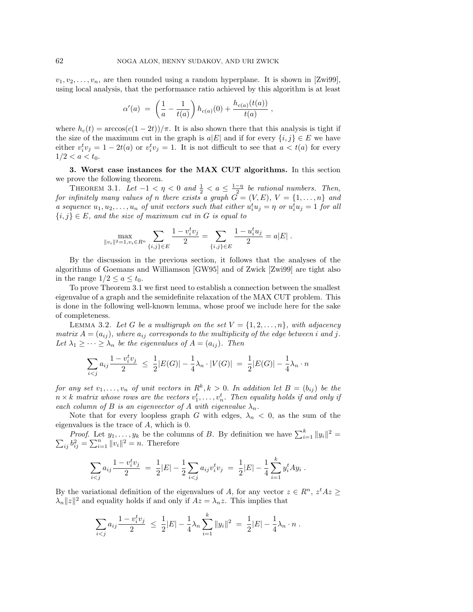$v_1, v_2, \ldots, v_n$ , are then rounded using a random hyperplane. It is shown in [Zwi99], using local analysis, that the performance ratio achieved by this algorithm is at least

$$
\alpha'(a) = \left(\frac{1}{a} - \frac{1}{t(a)}\right) h_{c(a)}(0) + \frac{h_{c(a)}(t(a))}{t(a)},
$$

where  $h_c(t) = \arccos(c(1-2t))/\pi$ . It is also shown there that this analysis is tight if the size of the maximum cut in the graph is  $a|E|$  and if for every  $\{i, j\} \in E$  we have either  $v_i^t v_j = 1 - 2t(a)$  or  $v_i^t v_j = 1$ . It is not difficult to see that  $a < t(a)$  for every  $1/2 < a < t_0$ .

**3. Worst case instances for the MAX CUT algorithms.** In this section we prove the following theorem.

THEOREM 3.1. Let  $-1 < \eta < 0$  and  $\frac{1}{2} < a \leq \frac{1-\eta}{2}$  be rational numbers. Then, for infinitely many values of n there exists a graph  $G = (V, E), V = \{1, \ldots, n\}$  and a sequence  $u_1, u_2, \ldots, u_n$  of unit vectors such that either  $u_i^t u_j = \eta$  or  $u_i^t u_j = 1$  for all  ${i, j} \in E$ , and the size of maximum cut in G is equal to

$$
\max_{\|v_i\|^2=1, v_i\in R^n}\sum_{\{i,j\}\in E}\frac{1-v_i^tv_j}{2}=\sum_{\{i,j\}\in E}\frac{1-u_i^tu_j}{2}=a|E|\;.
$$

By the discussion in the previous section, it follows that the analyses of the algorithms of Goemans and Williamson [GW95] and of Zwick [Zwi99] are tight also in the range  $1/2 \le a \le t_0$ .

To prove Theorem 3.1 we first need to establish a connection between the smallest eigenvalue of a graph and the semidefinite relaxation of the MAX CUT problem. This is done in the following well-known lemma, whose proof we include here for the sake of completeness.

LEMMA 3.2. Let G be a multigraph on the set  $V = \{1, 2, \ldots, n\}$ , with adjacency matrix  $A = (a_{ij})$ , where  $a_{ij}$  corresponds to the multiplicity of the edge between i and j. Let  $\lambda_1 \geq \cdots \geq \lambda_n$  be the eigenvalues of  $A = (a_{ij})$ . Then

$$
\sum_{i < j} a_{ij} \frac{1 - v_i^t v_j}{2} \le \frac{1}{2} |E(G)| - \frac{1}{4} \lambda_n \cdot |V(G)| = \frac{1}{2} |E(G)| - \frac{1}{4} \lambda_n \cdot n
$$

for any set  $v_1, \ldots, v_n$  of unit vectors in  $R^k, k > 0$ . In addition let  $B = (b_{ij})$  be the  $n \times k$  matrix whose rows are the vectors  $v_1^t, \ldots, v_n^t$ . Then equality holds if and only if each column of B is an eigenvector of A with eigenvalue  $\lambda_n$ .

Note that for every loopless graph G with edges,  $\lambda_n < 0$ , as the sum of the eigenvalues is the trace of A, which is 0.

*Proof.* Let  $y_1, \ldots, y_k$  be the columns of B. By definition we have  $\sum_{i=1}^k ||y_i||^2 =$  $\sum_{ij} b_{ij}^2 = \sum_{i=1}^n ||v_i||^2 = n.$  Therefore

$$
\sum_{i < j} a_{ij} \frac{1 - v_i^t v_j}{2} \ = \ \frac{1}{2} |E| - \frac{1}{2} \sum_{i < j} a_{ij} v_i^t v_j \ = \ \frac{1}{2} |E| - \frac{1}{4} \sum_{i=1}^k y_i^t A y_i \ .
$$

By the variational definition of the eigenvalues of A, for any vector  $z \in \mathbb{R}^n$ ,  $z^t A z \geq$  $\lambda_n ||z||^2$  and equality holds if and only if  $Az = \lambda_n z$ . This implies that

$$
\sum_{i < j} a_{ij} \frac{1 - v_i^t v_j}{2} \ \leq \ \frac{1}{2} |E| - \frac{1}{4} \lambda_n \sum_{i=1}^k \|y_i\|^2 \ = \ \frac{1}{2} |E| - \frac{1}{4} \lambda_n \cdot n \ .
$$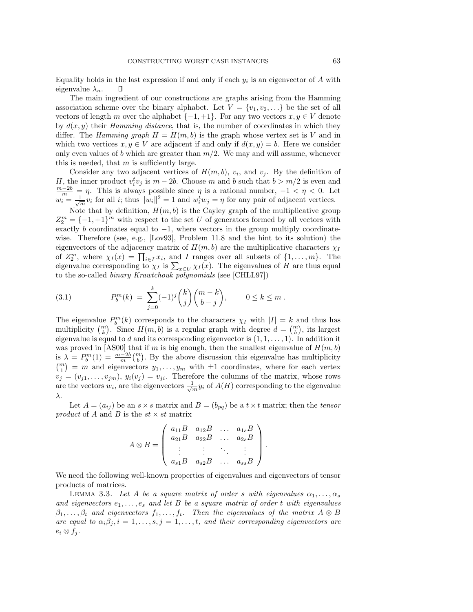Equality holds in the last expression if and only if each  $y_i$  is an eigenvector of A with eigenvalue  $\lambda_n$ .

The main ingredient of our constructions are graphs arising from the Hamming association scheme over the binary alphabet. Let  $V = \{v_1, v_2, \ldots\}$  be the set of all vectors of length m over the alphabet  $\{-1, +1\}$ . For any two vectors  $x, y \in V$  denote by  $d(x, y)$  their Hamming distance, that is, the number of coordinates in which they differ. The Hamming graph  $H = H(m, b)$  is the graph whose vertex set is V and in which two vertices  $x, y \in V$  are adjacent if and only if  $d(x, y) = b$ . Here we consider only even values of b which are greater than  $m/2$ . We may and will assume, whenever this is needed, that  $m$  is sufficiently large.

Consider any two adjacent vertices of  $H(m, b)$ ,  $v_i$ , and  $v_j$ . By the definition of H, the inner product  $v_i^t v_j$  is  $m-2b$ . Choose m and b such that  $b > m/2$  is even and  $m-2b = n$ . This is always possible since n is a rational number  $-1 < n < 0$ . Let  $\frac{m-2b}{m} = \eta$ . This is always possible since  $\eta$  is a rational number,  $-1 < \eta < 0$ . Let  $w_i = \frac{1}{\sqrt{m}} v_i$  for all *i*; thus  $||w_i||^2 = 1$  and  $w_i^t w_j = \eta$  for any pair of adjacent vertices.

Note that by definition,  $H(m, b)$  is the Cayley graph of the multiplicative group  $Z_2^m = \{-1, +1\}^m$  with respect to the set U of generators formed by all vectors with exactly b coordinates equal to  $-1$ , where vectors in the group multiply coordinatewise. Therefore (see, e.g., [Lov93], Problem 11.8 and the hint to its solution) the eigenvectors of the adjacency matrix of  $H(m, b)$  are the multiplicative characters  $\chi_I$ of  $Z_2^m$ , where  $\chi_I(x) = \prod_{i \in I} x_i$ , and I ranges over all subsets of  $\{1, \ldots, m\}$ . The eigenvalue corresponding to  $\chi_I$  is  $\sum_{x \in U} \chi_I(x)$ . The eigenvalues of H are thus equal to the so-called binary Krawtchouk polynomials (see [CHLL97])

(3.1) 
$$
P_b^m(k) = \sum_{j=0}^k (-1)^j \binom{k}{j} \binom{m-k}{b-j}, \qquad 0 \le k \le m.
$$

The eigenvalue  $P_b^m(k)$  corresponds to the characters  $\chi_I$  with  $|I| = k$  and thus has multiplicity  $\binom{m}{k}$ . Since  $H(m, b)$  is a regular graph with degree  $d = \binom{m}{b}$ , its largest eigenvalue is equal to d and its corresponding eigenvector is  $(1, 1, \ldots, 1)$ . In addition it was proved in [AS00] that if m is big enough, then the smallest eigenvalue of  $H(m, b)$ is  $\lambda = P_b^m(1) = \frac{m-2b}{m} {m \choose b}$ . By the above discussion this eigenvalue has multiplicity  $\binom{m}{1}$  = m and eigenvectors  $y_1, \ldots, y_m$  with  $\pm 1$  coordinates, where for each vertex  $v_j = (v_{j1}, \ldots, v_{jm}), y_i(v_j) = v_{ji}.$  Therefore the columns of the matrix, whose rows are the vectors  $w_i$ , are the eigenvectors  $\frac{1}{\sqrt{m}}y_i$  of  $A(H)$  corresponding to the eigenvalue λ.

Let  $A = (a_{ij})$  be an  $s \times s$  matrix and  $B = (b_{pq})$  be a  $t \times t$  matrix; then the tensor product of A and B is the  $st \times st$  matrix

$$
A \otimes B = \begin{pmatrix} a_{11}B & a_{12}B & \dots & a_{1s}B \\ a_{21}B & a_{22}B & \dots & a_{2s}B \\ \vdots & \vdots & \ddots & \vdots \\ a_{s1}B & a_{s2}B & \dots & a_{ss}B \end{pmatrix}.
$$

We need the following well-known properties of eigenvalues and eigenvectors of tensor products of matrices.

LEMMA 3.3. Let A be a square matrix of order s with eigenvalues  $\alpha_1, \ldots, \alpha_s$ and eigenvectors  $e_1, \ldots, e_s$  and let B be a square matrix of order t with eigenvalues  $\beta_1,\ldots,\beta_t$  and eigenvectors  $f_1,\ldots,f_t$ . Then the eigenvalues of the matrix  $A \otimes B$ are equal to  $\alpha_i\beta_j$ ,  $i=1,\ldots,s$ ,  $j=1,\ldots,t$ , and their corresponding eigenvectors are  $e_i \otimes f_j$ .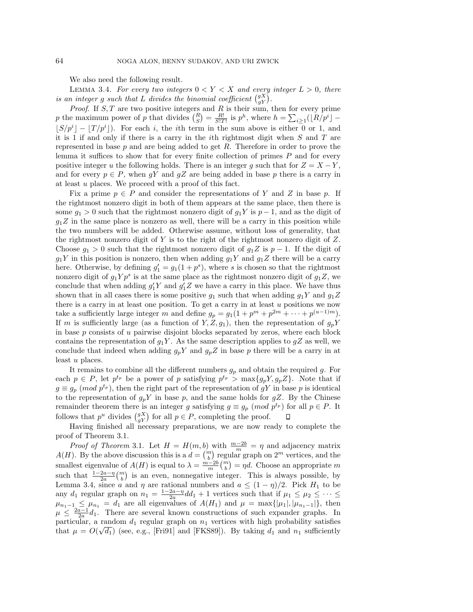We also need the following result.

LEMMA 3.4. For every two integers  $0 < Y < X$  and every integer  $L > 0$ , there is an integer g such that L divides the binomial coefficient  $\binom{gX}{gY}$ .

*Proof.* If  $S$ ,  $T$  are two positive integers and  $R$  is their sum, then for every prime p the maximum power of p that divides  $\binom{R}{S} = \frac{R!}{S!T!}$  is  $p^h$ , where  $h = \sum_{i \geq 1} (\lfloor R/p^i \rfloor \lfloor S/p^{i} \rfloor - \lfloor T/p^{i} \rfloor$ ). For each i, the ith term in the sum above is either 0 or 1, and it is 1 if and only if there is a carry in the *i*th rightmost digit when  $S$  and  $T$  are represented in base  $p$  and are being added to get  $R$ . Therefore in order to prove the lemma it suffices to show that for every finite collection of primes  $P$  and for every positive integer u the following holds. There is an integer g such that for  $Z = X - Y$ , and for every  $p \in P$ , when gY and gZ are being added in base p there is a carry in at least u places. We proceed with a proof of this fact.

Fix a prime  $p \in P$  and consider the representations of Y and Z in base p. If the rightmost nonzero digit in both of them appears at the same place, then there is some  $g_1 > 0$  such that the rightmost nonzero digit of  $g_1 Y$  is  $p-1$ , and as the digit of  $g_1Z$  in the same place is nonzero as well, there will be a carry in this position while the two numbers will be added. Otherwise assume, without loss of generality, that the rightmost nonzero digit of  $Y$  is to the right of the rightmost nonzero digit of  $Z$ . Choose  $g_1 > 0$  such that the rightmost nonzero digit of  $g_1 Z$  is  $p-1$ . If the digit of  $g_1Y$  in this position is nonzero, then when adding  $g_1Y$  and  $g_1Z$  there will be a carry here. Otherwise, by defining  $g_1' = g_1(1 + p^s)$ , where s is chosen so that the rightmost nonzero digit of  $g_1 Y p^s$  is at the same place as the rightmost nonzero digit of  $g_1 Z$ , we conclude that when adding  $g_1' Y$  and  $g_1' Z$  we have a carry in this place. We have thus shown that in all cases there is some positive  $g_1$  such that when adding  $g_1Y$  and  $g_1Z$ there is a carry in at least one position. To get a carry in at least  $u$  positions we now take a sufficiently large integer m and define  $g_p = g_1(1 + p^m + p^{2m} + \cdots + p^{(u-1)m}).$ If m is sufficiently large (as a function of Y, Z, g<sub>1</sub>), then the representation of  $g_p Y$ in base  $p$  consists of  $u$  pairwise disjoint blocks separated by zeros, where each block contains the representation of  $g_1Y$ . As the same description applies to  $gZ$  as well, we conclude that indeed when adding  $g_pY$  and  $g_pZ$  in base p there will be a carry in at least u places.

It remains to combine all the different numbers  $g_p$  and obtain the required g. For each  $p \in P$ , let  $p^{t_p}$  be a power of p satisfying  $p^{t_p} > \max\{g_p Y, g_p Z\}$ . Note that if  $g \equiv g_p \pmod{p^{t_p}}$ , then the right part of the representation of gY in base p is identical to the representation of  $g_p Y$  in base p, and the same holds for  $gZ$ . By the Chinese remainder theorem there is an integer g satisfying  $g \equiv g_p \pmod{p^{t_p}}$  for all  $p \in P$ . It follows that  $p^u$  divides  $\binom{gX}{gY}$  for all  $p \in P$ , completing the proof.

Having finished all necessary preparations, we are now ready to complete the proof of Theorem 3.1.

*Proof of Theorem* 3.1. Let  $H = H(m, b)$  with  $\frac{m-2b}{m} = \eta$  and adjacency matrix  $A(H)$ . By the above discussion this is a  $d = \binom{m}{b}$  regular graph on  $2^m$  vertices, and the smallest eigenvalue of  $A(H)$  is equal to  $\lambda = \frac{m-2b}{m} {m \choose b} = \eta d$ . Choose an appropriate m such that  $\frac{1-2a-\eta}{2a} \binom{m}{b}$  is an even, nonnegative integer. This is always possible, by Lemma 3.4, since a and  $\eta$  are rational numbers and  $a \leq (1 - \eta)/2$ . Pick  $H_1$  to be any  $d_1$  regular graph on  $n_1 = \frac{1-2a-n}{2a}dd_1 + 1$  vertices such that if  $\mu_1 \le \mu_2 \le \cdots \le$  $\mu_{n_1-1} \leq \mu_{n_1} = d_1$  are all eigenvalues of  $A(H_1)$  and  $\mu = \max\{|\mu_1|, |\mu_{n_1-1}|\}$ , then  $\mu \leq \frac{2a-1}{2a}d_1$ . There are several known constructions of such expander graphs. In particular, a random  $d_1$  regular graph on  $n_1$  vertices with high probability satisfies particular, a random  $u_1$  regular graph on  $n_1$  vertices with high probability satisfies<br>that  $\mu = O(\sqrt{d_1})$  (see, e.g., [Fri91] and [FKS89]). By taking  $d_1$  and  $n_1$  sufficiently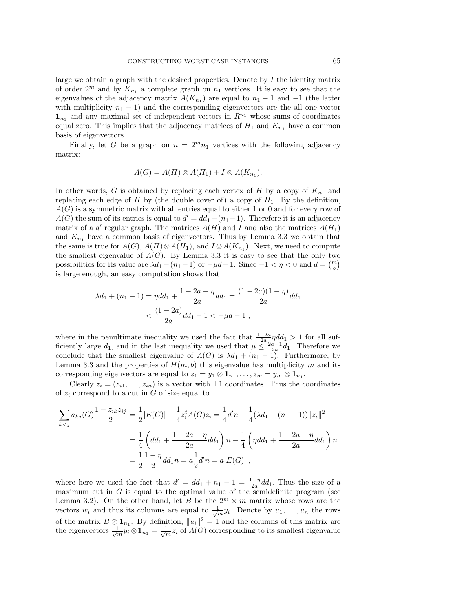large we obtain a graph with the desired properties. Denote by  $I$  the identity matrix of order  $2^m$  and by  $K_{n_1}$  a complete graph on  $n_1$  vertices. It is easy to see that the eigenvalues of the adjacency matrix  $A(K_{n_1})$  are equal to  $n_1 - 1$  and  $-1$  (the latter with multiplicity  $n_1 - 1$ ) and the corresponding eigenvectors are the all one vector  $\mathbf{1}_{n_1}$  and any maximal set of independent vectors in  $R^{n_1}$  whose sums of coordinates equal zero. This implies that the adjacency matrices of  $H_1$  and  $K_{n_1}$  have a common basis of eigenvectors.

Finally, let G be a graph on  $n = 2^m n_1$  vertices with the following adjacency matrix:

$$
A(G) = A(H) \otimes A(H_1) + I \otimes A(K_{n_1}).
$$

In other words, G is obtained by replacing each vertex of H by a copy of  $K_{n_1}$  and replacing each edge of H by (the double cover of) a copy of  $H_1$ . By the definition,  $A(G)$  is a symmetric matrix with all entries equal to either 1 or 0 and for every row of  $A(G)$  the sum of its entries is equal to  $d' = dd_1 + (n_1-1)$ . Therefore it is an adjacency matrix of a d' regular graph. The matrices  $A(H)$  and I and also the matrices  $A(H_1)$ and  $K_{n_1}$  have a common basis of eigenvectors. Thus by Lemma 3.3 we obtain that the same is true for  $A(G)$ ,  $A(H) \otimes A(H_1)$ , and  $I \otimes A(K_{n_1})$ . Next, we need to compute the smallest eigenvalue of  $A(G)$ . By Lemma 3.3 it is easy to see that the only two possibilities for its value are  $\lambda d_1 + (n_1 - 1)$  or  $-\mu d - 1$ . Since  $-1 < \eta < 0$  and  $d = \binom{m}{b}$ is large enough, an easy computation shows that

$$
\lambda d_1 + (n_1 - 1) = \eta d_1 + \frac{1 - 2a - \eta}{2a} d_1 = \frac{(1 - 2a)(1 - \eta)}{2a} d_1
$$

$$
< \frac{(1 - 2a)}{2a} d_1 - 1 < -\mu d - 1,
$$

where in the penultimate inequality we used the fact that  $\frac{1-2a}{2a} \eta d\dot{d}_1 > 1$  for all sufficiently large  $d_1$ , and in the last inequality we used that  $\mu \leq \frac{2a-1}{2a}d_1$ . Therefore we conclude that the smallest eigenvalue of  $A(G)$  is  $\lambda d_1 + (n_1 - 1)$ . Furthermore, by Lemma 3.3 and the properties of  $H(m, b)$  this eigenvalue has multiplicity m and its corresponding eigenvectors are equal to  $z_1 = y_1 \otimes \mathbf{1}_{n_1}, \ldots, z_m = y_m \otimes \mathbf{1}_{n_1}$ .

Clearly  $z_i = (z_{i1}, \ldots, z_{in})$  is a vector with  $\pm 1$  coordinates. Thus the coordinates of  $z_i$  correspond to a cut in G of size equal to

$$
\sum_{k < j} a_{kj}(G) \frac{1 - z_{ik}z_{ij}}{2} = \frac{1}{2} |E(G)| - \frac{1}{4} z_i^t A(G) z_i = \frac{1}{4} d'n - \frac{1}{4} (\lambda d_1 + (n_1 - 1)) ||z_i||^2
$$
\n
$$
= \frac{1}{4} \left( d d_1 + \frac{1 - 2a - \eta}{2a} d d_1 \right) n - \frac{1}{4} \left( \eta d d_1 + \frac{1 - 2a - \eta}{2a} d d_1 \right) n
$$
\n
$$
= \frac{1}{2} \frac{1 - \eta}{2} d d_1 n = a \frac{1}{2} d' n = a |E(G)|,
$$

where here we used the fact that  $d' = dd_1 + n_1 - 1 = \frac{1-\eta}{2a} dd_1$ . Thus the size of a maximum cut in  $G$  is equal to the optimal value of the semidefinite program (see Lemma 3.2). On the other hand, let B be the  $2^m \times m$  matrix whose rows are the vectors  $w_i$  and thus its columns are equal to  $\frac{1}{\sqrt{m}}y_i$ . Denote by  $u_1, \ldots, u_n$  the rows of the matrix  $B \otimes \mathbf{1}_{n_1}$ . By definition,  $||u_i||^2 = 1$  and the columns of this matrix are the eigenvectors  $\frac{1}{\sqrt{m}}y_i \otimes \mathbf{1}_{n_1} = \frac{1}{\sqrt{m}}z_i$  of  $A(G)$  corresponding to its smallest eigenvalue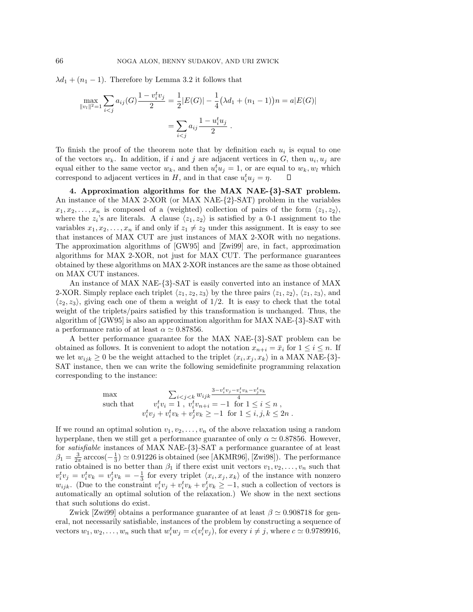$\lambda d_1 + (n_1 - 1)$ . Therefore by Lemma 3.2 it follows that

$$
\max_{\|v_l\|^2=1} \sum_{i < j} a_{ij}(G) \frac{1 - v_i^t v_j}{2} = \frac{1}{2} |E(G)| - \frac{1}{4} (\lambda d_1 + (n_1 - 1)) n = a |E(G)|
$$
\n
$$
= \sum_{i < j} a_{ij} \frac{1 - u_i^t u_j}{2} \, .
$$

To finish the proof of the theorem note that by definition each  $u_i$  is equal to one of the vectors  $w_k$ . In addition, if i and j are adjacent vertices in G, then  $u_i, u_j$  are equal either to the same vector  $w_k$ , and then  $u_i^t u_j = 1$ , or are equal to  $w_k, w_l$  which correspond to adjacent vertices in H, and in that case  $u_i^t u_j = \eta$ .

**4. Approximation algorithms for the MAX NAE-***{***3***}***-SAT problem.** An instance of the MAX 2-XOR (or MAX NAE-{2}-SAT) problem in the variables  $x_1, x_2, \ldots, x_n$  is composed of a (weighted) collection of pairs of the form  $\langle z_1, z_2 \rangle$ , where the  $z_i$ 's are literals. A clause  $\langle z_1, z_2 \rangle$  is satisfied by a 0-1 assignment to the variables  $x_1, x_2, \ldots, x_n$  if and only if  $z_1 \neq z_2$  under this assignment. It is easy to see that instances of MAX CUT are just instances of MAX 2-XOR with no negations. The approximation algorithms of [GW95] and [Zwi99] are, in fact, approximation algorithms for MAX 2-XOR, not just for MAX CUT. The performance guarantees obtained by these algorithms on MAX 2-XOR instances are the same as those obtained on MAX CUT instances.

An instance of MAX NAE-{3}-SAT is easily converted into an instance of MAX 2-XOR. Simply replace each triplet  $\langle z_1, z_2, z_3 \rangle$  by the three pairs  $\langle z_1, z_2 \rangle$ ,  $\langle z_1, z_3 \rangle$ , and  $\langle z_2, z_3 \rangle$ , giving each one of them a weight of 1/2. It is easy to check that the total weight of the triplets/pairs satisfied by this transformation is unchanged. Thus, the algorithm of [GW95] is also an approximation algorithm for MAX NAE-{3}-SAT with a performance ratio of at least  $\alpha \simeq 0.87856$ .

A better performance guarantee for the MAX NAE-{3}-SAT problem can be obtained as follows. It is convenient to adopt the notation  $x_{n+i} = \bar{x}_i$  for  $1 \leq i \leq n$ . If we let  $w_{ijk} \geq 0$  be the weight attached to the triplet  $\langle x_i, x_j, x_k \rangle$  in a MAX NAE-{3}-SAT instance, then we can write the following semidefinite programming relaxation corresponding to the instance:

$$
\begin{array}{ll}\n\max & \sum_{i < j < k} w_{ijk} \frac{3 - v_i^t v_j - v_i^t v_k - v_j^t v_k}{4} \\
\text{such that} & v_i^t v_i = 1, \ v_i^t v_{n+i} = -1 \text{ for } 1 \le i \le n, \\
v_i^t v_j + v_i^t v_k + v_j^t v_k \ge -1 \text{ for } 1 \le i, j, k \le 2n.\n\end{array}
$$

If we round an optimal solution  $v_1, v_2, \ldots, v_n$  of the above relaxation using a random hyperplane, then we still get a performance guarantee of only  $\alpha \simeq 0.87856$ . However, for satisfiable instances of MAX NAE-{3}-SAT a performance guarantee of at least  $\beta_1 = \frac{3}{2\pi} \arccos(-\frac{1}{3}) \simeq 0.91226$  is obtained (see [AKMR96], [Zwi98]). The performance ratio obtained is no better than  $\beta_1$  if there exist unit vectors  $v_1, v_2, \ldots, v_n$  such that  $v_i^t v_j = v_i^t v_k = v_j^t v_k = -\frac{1}{3}$  for every triplet  $\langle x_i, x_j, x_k \rangle$  of the instance with nonzero  $w_{ijk}$ . (Due to the constraint  $v_i^t v_j + v_i^t v_k + v_j^t v_k \ge -1$ , such a collection of vectors is automatically an optimal solution of the relaxation.) We show in the next sections that such solutions do exist.

Zwick [Zwi99] obtains a performance guarantee of at least  $\beta \simeq 0.908718$  for general, not necessarily satisfiable, instances of the problem by constructing a sequence of vectors  $w_1, w_2, \ldots, w_n$  such that  $w_i^t w_j = c(v_i^t v_j)$ , for every  $i \neq j$ , where  $c \simeq 0.9789916$ ,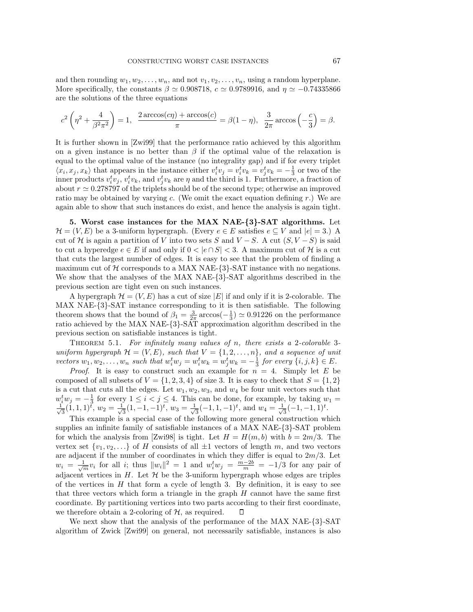and then rounding  $w_1, w_2, \ldots, w_n$ , and not  $v_1, v_2, \ldots, v_n$ , using a random hyperplane. More specifically, the constants  $\beta \simeq 0.908718$ ,  $c \simeq 0.9789916$ , and  $\eta \simeq -0.74335866$ are the solutions of the three equations

$$
c^2 \left(\eta^2 + \frac{4}{\beta^2 \pi^2}\right) = 1, \quad \frac{2 \arccos(c\eta) + \arccos(c)}{\pi} = \beta(1 - \eta), \quad \frac{3}{2\pi} \arccos\left(-\frac{c}{3}\right) = \beta.
$$

It is further shown in [Zwi99] that the performance ratio achieved by this algorithm on a given instance is no better than  $\beta$  if the optimal value of the relaxation is equal to the optimal value of the instance (no integrality gap) and if for every triplet  $\langle x_i, x_j, x_k \rangle$  that appears in the instance either  $v_i^t v_j = v_i^t v_k = v_j^t v_k = -\frac{1}{3}$  or two of the inner products  $v_i^t v_j, v_i^t v_k$ , and  $v_j^t v_k$  are  $\eta$  and the third is 1. Furthermore, a fraction of about  $r \approx 0.278797$  of the triplets should be of the second type; otherwise an improved ratio may be obtained by varying c. (We omit the exact equation defining r.) We are again able to show that such instances do exist, and hence the analysis is again tight.

**5. Worst case instances for the MAX NAE-***{***3***}***-SAT algorithms.** Let  $\mathcal{H} = (V, E)$  be a 3-uniform hypergraph. (Every  $e \in E$  satisfies  $e \subseteq V$  and  $|e| = 3$ .) A cut of H is again a partition of V into two sets S and  $V-S$ . A cut  $(S, V-S)$  is said to cut a hyperedge  $e \in E$  if and only if  $0 < |e \cap S| < 3$ . A maximum cut of H is a cut that cuts the largest number of edges. It is easy to see that the problem of finding a maximum cut of  $H$  corresponds to a MAX NAE- $\{3\}$ -SAT instance with no negations. We show that the analyses of the MAX NAE-{3}-SAT algorithms described in the previous section are tight even on such instances.

A hypergraph  $\mathcal{H} = (V, E)$  has a cut of size |E| if and only if it is 2-colorable. The MAX NAE-{3}-SAT instance corresponding to it is then satisfiable. The following theorem shows that the bound of  $\beta_1 = \frac{3}{2\pi} \arccos(-\frac{1}{3}) \simeq 0.91226$  on the performance ratio achieved by the MAX NAE-{3}-SAT approximation algorithm described in the previous section on satisfiable instances is tight.

THEOREM 5.1. For infinitely many values of n, there exists a 2-colorable 3uniform hypergraph  $\mathcal{H} = (V, E)$ , such that  $V = \{1, 2, ..., n\}$ , and a sequence of unit vectors  $w_1, w_2, \ldots, w_n$  such that  $w_i^t w_j = w_i^t w_k = w_j^t w_k = -\frac{1}{3}$  for every  $\{i, j, k\} \in E$ .

*Proof.* It is easy to construct such an example for  $n = 4$ . Simply let E be composed of all subsets of  $V = \{1, 2, 3, 4\}$  of size 3. It is easy to check that  $S = \{1, 2\}$ is a cut that cuts all the edges. Let  $w_1, w_2, w_3$ , and  $w_4$  be four unit vectors such that  $w_i^t w_j = -\frac{1}{3}$  for every  $1 \le i < j \le 4$ . This can be done, for example, by taking  $w_1 = \frac{1}{\sqrt{3}}(1, 1, 1)^t$ ,  $w_2 = \frac{1}{\sqrt{3}}(1, -1, -1)^t$ ,  $w_3 = \frac{1}{\sqrt{3}}(-1, 1, -1)^t$ , and  $w_4 = \frac{1}{\sqrt{3}}(-1, -1, 1)^t$ .

This example is a special case of the following more general construction which supplies an infinite family of satisfiable instances of a MAX NAE-{3}-SAT problem for which the analysis from [Zwi98] is tight. Let  $H = H(m, b)$  with  $b = 2m/3$ . The vertex set  $\{v_1, v_2,...\}$  of H consists of all  $\pm 1$  vectors of length m, and two vectors are adjacent if the number of coordinates in which they differ is equal to  $2m/3$ . Let  $w_i = \frac{1}{\sqrt{m}} v_i$  for all i; thus  $||w_i||^2 = 1$  and  $w_i^t w_j = \frac{m-2b}{m} = -1/3$  for any pair of adjacent vertices in  $H$ . Let  $H$  be the 3-uniform hypergraph whose edges are triples of the vertices in  $H$  that form a cycle of length 3. By definition, it is easy to see that three vectors which form a triangle in the graph  $H$  cannot have the same first coordinate. By partitioning vertices into two parts according to their first coordinate, we therefore obtain a 2-coloring of  $H$ , as required.  $\Box$ 

We next show that the analysis of the performance of the MAX NAE-{3}-SAT algorithm of Zwick [Zwi99] on general, not necessarily satisfiable, instances is also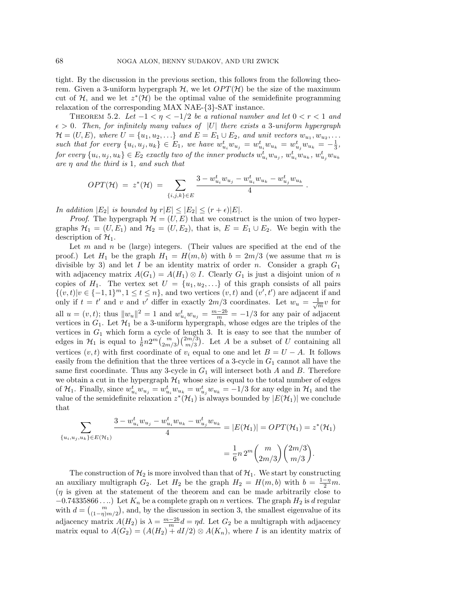tight. By the discussion in the previous section, this follows from the following theorem. Given a 3-uniform hypergraph  $H$ , we let  $OPT(H)$  be the size of the maximum cut of H, and we let  $z^*(\mathcal{H})$  be the optimal value of the semidefinite programming relaxation of the corresponding MAX NAE-{3}-SAT instance.

THEOREM 5.2. Let  $-1 < \eta < -1/2$  be a rational number and let  $0 < r < 1$  and  $\epsilon > 0$ . Then, for infinitely many values of |U| there exists a 3-uniform hypergraph  $\mathcal{H} = (U, E)$ , where  $U = \{u_1, u_2, \ldots\}$  and  $E = E_1 \cup E_2$ , and unit vectors  $w_{u_1}, w_{u_2}, \ldots$ such that for every  $\{u_i, u_j, u_k\} \in E_1$ , we have  $w_{u_i}^t w_{u_j} = w_{u_i}^t w_{u_k} = w_{u_j}^t w_{u_k} = -\frac{1}{3}$ ,  $for\ every\ \{u_i, u_j, u_k\} \in E_2\ \ exactly\ two\ of\ the\ inner\ products\ w_{u_i}^t w_{u_j},\ w_{u_i}^t w_{u_k},\ w_{u_j}^t w_{u_k}$ are  $\eta$  and the third is 1, and such that

$$
OPT(\mathcal{H}) = z^*(\mathcal{H}) = \sum_{\{i,j,k\} \in E} \frac{3 - w_{u_i}^t w_{u_j} - w_{u_i}^t w_{u_k} - w_{u_j}^t w_{u_k}}{4}.
$$

In addition  $|E_2|$  is bounded by  $r|E| \leq |E_2| \leq (r + \epsilon)|E|$ .

*Proof.* The hypergraph  $\mathcal{H} = (U, E)$  that we construct is the union of two hypergraphs  $\mathcal{H}_1 = (U, E_1)$  and  $\mathcal{H}_2 = (U, E_2)$ , that is,  $E = E_1 \cup E_2$ . We begin with the description of  $\mathcal{H}_1$ .

Let  $m$  and  $n$  be (large) integers. (Their values are specified at the end of the proof.) Let  $H_1$  be the graph  $H_1 = H(m, b)$  with  $b = 2m/3$  (we assume that m is divisible by 3) and let I be an identity matrix of order n. Consider a graph  $G_1$ with adjacency matrix  $A(G_1) = A(H_1) \otimes I$ . Clearly  $G_1$  is just a disjoint union of n copies of  $H_1$ . The vertex set  $U = \{u_1, u_2, \ldots\}$  of this graph consists of all pairs  $\{(v,t)|v\in\{-1,1\}^m, 1\leq t\leq n\}$ , and two vertices  $(v,t)$  and  $(v',t')$  are adjacent if and only if  $t = t'$  and v and v' differ in exactly  $2m/3$  coordinates. Let  $w_u = \frac{1}{\sqrt{m}}v$  for all  $u = (v, t)$ ; thus  $||w_u||^2 = 1$  and  $w_{u_i}^t w_{u_j} = \frac{m-2b}{m} = -1/3$  for any pair of adjacent vertices in  $G_1$ . Let  $\mathcal{H}_1$  be a 3-uniform hypergraph, whose edges are the triples of the vertices in  $G_1$  which form a cycle of length 3. It is easy to see that the number of edges in  $\mathcal{H}_1$  is equal to  $\frac{1}{6}n2^m\binom{m}{2m/3}\binom{2m/3}{m/3}$ . Let A be a subset of U containing all vertices  $(v, t)$  with first coordinate of  $v_i$  equal to one and let  $B = U - A$ . It follows easily from the definition that the three vertices of a 3-cycle in  $G_1$  cannot all have the same first coordinate. Thus any 3-cycle in  $G_1$  will intersect both A and B. Therefore we obtain a cut in the hypergraph  $\mathcal{H}_1$  whose size is equal to the total number of edges of  $\mathcal{H}_1$ . Finally, since  $w_{u_i}^t w_{u_j} = w_{u_i}^t w_{u_k} = w_{u_j}^t w_{u_k} = -1/3$  for any edge in  $\mathcal{H}_1$  and the value of the semidefinite relaxation  $z^*(\mathcal{H}_1)$  is always bounded by  $|E(\mathcal{H}_1)|$  we conclude that

$$
\sum_{\{u_i, u_j, u_k\} \in E(\mathcal{H}_1)} \frac{3 - w_{u_i}^t w_{u_j} - w_{u_i}^t w_{u_k} - w_{u_j}^t w_{u_k}}{4} = |E(\mathcal{H}_1)| = OPT(\mathcal{H}_1) = z^*(\mathcal{H}_1)
$$
  
= 
$$
\frac{1}{6} n 2^m {m \choose 2m/3} {2m/3 \choose m/3}.
$$

The construction of  $\mathcal{H}_2$  is more involved than that of  $\mathcal{H}_1$ . We start by constructing an auxiliary multigraph  $G_2$ . Let  $H_2$  be the graph  $H_2 = H(m, b)$  with  $b = \frac{1-\eta}{2}m$ .  $(\eta)$  is given at the statement of the theorem and can be made arbitrarily close to  $-0.74335866...$ ) Let  $K_n$  be a complete graph on n vertices. The graph  $H_2$  is d regular with  $d = {m \choose (1-\eta)m/2}$ , and, by the discussion in section 3, the smallest eigenvalue of its adjacency matrix  $A(H_2)$  is  $\lambda = \frac{m-2b}{m}d = \eta d$ . Let  $G_2$  be a multigraph with adjacency matrix equal to  $A(G_2)=(A(H_2)+dI/2)\otimes A(K_n)$ , where I is an identity matrix of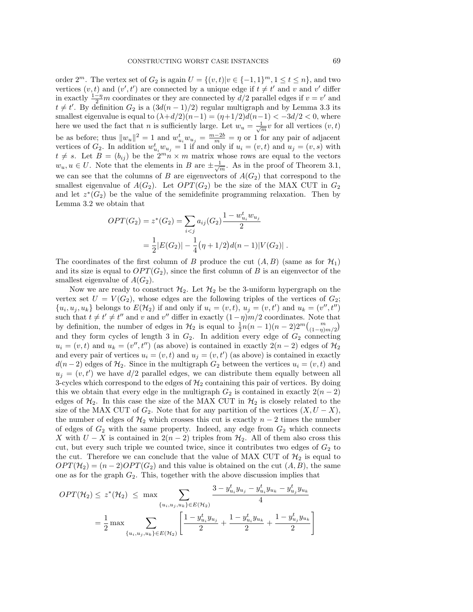order  $2^m$ . The vertex set of  $G_2$  is again  $U = \{(v, t)| v \in \{-1, 1\}^m, 1 \le t \le n\}$ , and two vertices  $(v, t)$  and  $(v', t')$  are connected by a unique edge if  $t \neq t'$  and v and v' differ in exactly  $\frac{1-\eta}{2}m$  coordinates or they are connected by  $d/2$  parallel edges if  $v = v'$  and  $t \neq t'$ . By definition  $G_2$  is a  $(3d(n-1)/2)$  regular multigraph and by Lemma 3.3 its smallest eigenvalue is equal to  $(\lambda + d/2)(n-1) = (\eta + 1/2)d(n-1) < -3d/2 < 0$ , where here we used the fact that *n* is sufficiently large. Let  $w_u = \frac{1}{\sqrt{m}}v$  for all vertices  $(v, t)$ be as before; thus  $||w_u||^2 = 1$  and  $w_{u_i}^t w_{u_j} = \frac{m-2b}{m} = \eta$  or 1 for any pair of adjacent vertices of  $G_2$ . In addition  $w_{u_i}^t w_{u_j} = 1$  if and only if  $u_i = (v, t)$  and  $u_j = (v, s)$  with  $t \neq s$ . Let  $B = (b_{ij})$  be the  $2m \tilde{n} \times m$  matrix whose rows are equal to the vectors  $w_u, u \in U$ . Note that the elements in B are  $\pm \frac{1}{\sqrt{m}}$ . As in the proof of Theorem 3.1, we can see that the columns of B are eigenvectors of  $A(G_2)$  that correspond to the smallest eigenvalue of  $A(G_2)$ . Let  $OPT(G_2)$  be the size of the MAX CUT in  $G_2$ and let  $z^*(G_2)$  be the value of the semidefinite programming relaxation. Then by Lemma 3.2 we obtain that

$$
OPT(G_2) = z^*(G_2) = \sum_{i < j} a_{ij}(G_2) \frac{1 - w_{u_i}^t w_{u_j}}{2}
$$
\n
$$
= \frac{1}{2} |E(G_2)| - \frac{1}{4} \left( \eta + \frac{1}{2} \right) d(\eta - 1) |V(G_2)| \, .
$$

The coordinates of the first column of B produce the cut  $(A, B)$  (same as for  $\mathcal{H}_1$ ) and its size is equal to  $OPT(G_2)$ , since the first column of B is an eigenvector of the smallest eigenvalue of  $A(G_2)$ .

Now we are ready to construct  $\mathcal{H}_2$ . Let  $\mathcal{H}_2$  be the 3-uniform hypergraph on the vertex set  $U = V(G_2)$ , whose edges are the following triples of the vertices of  $G_2$ ;  $\{u_i, u_j, u_k\}$  belongs to  $E(\mathcal{H}_2)$  if and only if  $u_i = (v, t)$ ,  $u_j = (v, t')$  and  $u_k = (v'', t'')$ such that  $t \neq t' \neq t''$  and v and v'' differ in exactly  $(1 - \eta)m/2$  coordinates. Note that by definition, the number of edges in  $\mathcal{H}_2$  is equal to  $\frac{1}{2}n(n-1)(n-2)2^m\binom{m}{(1-\eta)m/2}$ and they form cycles of length 3 in  $G_2$ . In addition every edge of  $G_2$  connecting  $u_i = (v, t)$  and  $u_k = (v'', t'')$  (as above) is contained in exactly  $2(n-2)$  edges of  $\mathcal{H}_2$ and every pair of vertices  $u_i = (v, t)$  and  $u_j = (v, t')$  (as above) is contained in exactly  $d(n-2)$  edges of  $\mathcal{H}_2$ . Since in the multigraph  $G_2$  between the vertices  $u_i = (v, t)$  and  $u_j = (v, t')$  we have  $d/2$  parallel edges, we can distribute them equally between all 3-cycles which correspond to the edges of  $\mathcal{H}_2$  containing this pair of vertices. By doing this we obtain that every edge in the multigraph  $G_2$  is contained in exactly  $2(n-2)$ edges of  $\mathcal{H}_2$ . In this case the size of the MAX CUT in  $\mathcal{H}_2$  is closely related to the size of the MAX CUT of  $G_2$ . Note that for any partition of the vertices  $(X, U - X)$ , the number of edges of  $H_2$  which crosses this cut is exactly  $n-2$  times the number of edges of  $G_2$  with the same property. Indeed, any edge from  $G_2$  which connects X with  $U - X$  is contained in  $2(n-2)$  triples from  $\mathcal{H}_2$ . All of them also cross this cut, but every such triple we counted twice, since it contributes two edges of  $G_2$  to the cut. Therefore we can conclude that the value of MAX CUT of  $\mathcal{H}_2$  is equal to  $OPT(\mathcal{H}_2)=(n-2)OPT(G_2)$  and this value is obtained on the cut  $(A, B)$ , the same one as for the graph  $G_2$ . This, together with the above discussion implies that

$$
OPT(\mathcal{H}_2) \le z^*(\mathcal{H}_2) \le \max \sum_{\{u_i, u_j, u_k\} \in E(\mathcal{H}_2)} \frac{3 - y_{u_i}^t y_{u_j} - y_{u_i}^t y_{u_k} - y_{u_j}^t y_{u_k}}{4}
$$

$$
= \frac{1}{2} \max \sum_{\{u_i, u_j, u_k\} \in E(\mathcal{H}_2)} \left[ \frac{1 - y_{u_i}^t y_{u_j}}{2} + \frac{1 - y_{u_i}^t y_{u_k}}{2} + \frac{1 - y_{u_j}^t y_{u_k}}{2} \right]
$$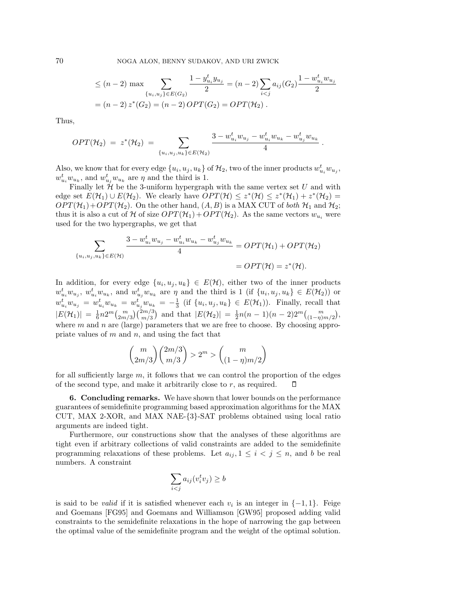70 NOGA ALON, BENNY SUDAKOV, AND URI ZWICK

$$
\leq (n-2) \max \sum_{\{u_i, u_j\} \in E(G_2)} \frac{1 - y_{u_i}^t y_{u_j}}{2} = (n-2) \sum_{i < j} a_{ij} (G_2) \frac{1 - w_{u_i}^t w_{u_j}}{2}
$$
\n
$$
= (n-2) z^* (G_2) = (n-2) \, OPT(G_2) = OPT(\mathcal{H}_2).
$$

Thus,

$$
OPT(\mathcal{H}_2) = z^*(\mathcal{H}_2) = \sum_{\{u_i, u_j, u_k\} \in E(\mathcal{H}_2)} \frac{3 - w_{u_i}^t w_{u_j} - w_{u_i}^t w_{u_k} - w_{u_j}^t w_{u_k}}{4}.
$$

Also, we know that for every edge  $\{u_i, u_j, u_k\}$  of  $\mathcal{H}_2$ , two of the inner products  $w_{u_i}^t w_{u_j}$ ,  $w_{u_i}^t w_{u_k}$ , and  $w_{u_j}^t w_{u_k}$  are  $\eta$  and the third is 1.

Finally let  $\hat{\mathcal{H}}$  be the 3-uniform hypergraph with the same vertex set U and with edge set  $E(\mathcal{H}_1) \cup E(\mathcal{H}_2)$ . We clearly have  $OPT(\mathcal{H}) \leq z^*(\mathcal{H}) \leq z^*(\mathcal{H}_1) + z^*(\mathcal{H}_2) =$  $OPT(\mathcal{H}_1)+OPT(\mathcal{H}_2)$ . On the other hand,  $(A, B)$  is a MAX CUT of both  $\mathcal{H}_1$  and  $\mathcal{H}_2$ ; thus it is also a cut of H of size  $OPT(\mathcal{H}_1) + OPT(\mathcal{H}_2)$ . As the same vectors  $w_{u_i}$  were used for the two hypergraphs, we get that

$$
\sum_{\{u_i, u_j, u_k\} \in E(\mathcal{H})} \frac{3 - w_{u_i}^t w_{u_j} - w_{u_i}^t w_{u_k} - w_{u_j}^t w_{u_k}}{4} = OPT(\mathcal{H}_1) + OPT(\mathcal{H}_2)
$$
  
=  $OPT(\mathcal{H}) = z^*(\mathcal{H}).$ 

In addition, for every edge  $\{u_i, u_j, u_k\} \in E(\mathcal{H})$ , either two of the inner products  $w_{u_i}^t w_{u_j}, w_{u_i}^t w_{u_k}$ , and  $w_{u_j}^t w_{u_k}$  are  $\eta$  and the third is 1 (if  $\{u_i, u_j, u_k\} \in E(\mathcal{H}_2)$ ) or  $w_{u_i}^t w_{u_j} = w_{u_i}^t w_{u_k} = w_{u_j}^t w_{u_k} = -\frac{1}{3}$  (if  $\{u_i, u_j, u_k\} \in E(\mathcal{H}_1)$ ). Finally, recall that  $|E(\mathcal{H}_1)| = \frac{1}{6} n 2^m {m \choose 2m/3} {2m/3 \choose m/3}$  and that  $|E(\mathcal{H}_2)| = \frac{1}{2} n(n-1)(n-2) 2^m {m \choose (1-\eta)m/2},$ where  $m$  and  $n$  are (large) parameters that we are free to choose. By choosing appropriate values of  $m$  and  $n$ , and using the fact that

$$
{m \choose 2m/3} {2m/3 \choose m/3} > 2^m > {m \choose (1-\eta)m/2}
$$

for all sufficiently large  $m$ , it follows that we can control the proportion of the edges of the second type, and make it arbitrarily close to  $r$ , as required. □

**6. Concluding remarks.** We have shown that lower bounds on the performance guarantees of semidefinite programming based approximation algorithms for the MAX CUT, MAX 2-XOR, and MAX NAE-{3}-SAT problems obtained using local ratio arguments are indeed tight.

Furthermore, our constructions show that the analyses of these algorithms are tight even if arbitrary collections of valid constraints are added to the semidefinite programming relaxations of these problems. Let  $a_{ij}$ ,  $1 \leq i \leq j \leq n$ , and b be real numbers. A constraint

$$
\sum_{i < j} a_{ij} (v_i^t v_j) \ge b
$$

is said to be *valid* if it is satisfied whenever each  $v_i$  is an integer in  $\{-1, 1\}$ . Feige and Goemans [FG95] and Goemans and Williamson [GW95] proposed adding valid constraints to the semidefinite relaxations in the hope of narrowing the gap between the optimal value of the semidefinite program and the weight of the optimal solution.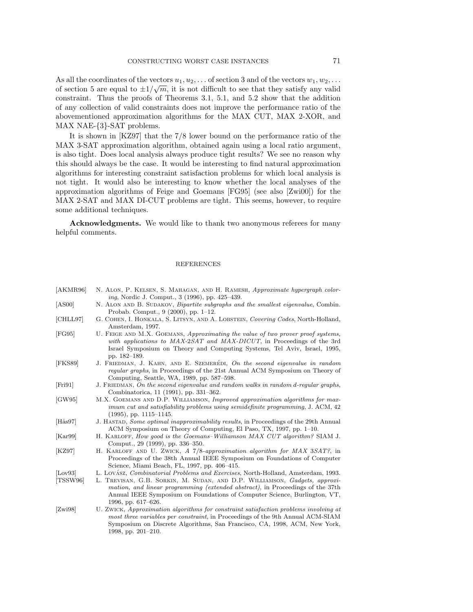As all the coordinates of the vectors  $u_1, u_2, \ldots$  of section 3 and of the vectors  $w_1, w_2, \ldots$ As an the coordinates of the vectors  $u_1, u_2, \ldots$  of section 5 and of the vectors  $w_1, w_2, \ldots$  of section 5 are equal to  $\pm 1/\sqrt{m}$ , it is not difficult to see that they satisfy any valid constraint. Thus the proofs of Theorems 3.1, 5.1, and 5.2 show that the addition of any collection of valid constraints does not improve the performance ratio of the abovementioned approximation algorithms for the MAX CUT, MAX 2-XOR, and MAX NAE-{3}-SAT problems.

It is shown in [KZ97] that the 7/8 lower bound on the performance ratio of the MAX 3-SAT approximation algorithm, obtained again using a local ratio argument, is also tight. Does local analysis always produce tight results? We see no reason why this should always be the case. It would be interesting to find natural approximation algorithms for interesting constraint satisfaction problems for which local analysis is not tight. It would also be interesting to know whether the local analyses of the approximation algorithms of Feige and Goemans [FG95] (see also [Zwi00]) for the MAX 2-SAT and MAX DI-CUT problems are tight. This seems, however, to require some additional techniques.

**Acknowledgments.** We would like to thank two anonymous referees for many helpful comments.

## **REFERENCES**

| [AKMR96]         | N. ALON, P. KELSEN, S. MAHAGAN, AND H. RAMESH, Approximate hypergraph color-<br><i>ing</i> , Nordic J. Comput., 3 (1996), pp. 425–439.                                                                                                                                       |
|------------------|------------------------------------------------------------------------------------------------------------------------------------------------------------------------------------------------------------------------------------------------------------------------------|
| [AS00]           | N. ALON AND B. SUDAKOV, <i>Bipartite subgraphs and the smallest eigenvalue</i> , Combin.                                                                                                                                                                                     |
|                  | Probab. Comput., $9(2000)$ , pp. 1–12.                                                                                                                                                                                                                                       |
| [CHLL97]         | G. COHEN, I. HONKALA, S. LITSYN, AND A. LOBSTEIN, Covering Codes, North-Holland,<br>Amsterdam, 1997.                                                                                                                                                                         |
| [FG95]           | U. FEIGE AND M.X. GOEMANS, Approximating the value of two prover proof systems,<br>with applications to MAX-2SAT and MAX-DICUT, in Proceedings of the 3rd<br>Israel Symposium on Theory and Computing Systems, Tel Aviv, Israel, 1995,<br>pp. 182-189.                       |
| [FKS89]          | J. FRIEDMAN, J. KAHN, AND E. SZEMERÉDI, On the second eigenvalue in random<br>regular graphs, in Proceedings of the 21st Annual ACM Symposium on Theory of<br>Computing, Seattle, WA, 1989, pp. 587–598.                                                                     |
| [Fig 1]          | J. FRIEDMAN, On the second eigenvalue and random walks in random d-regular graphs,<br>Combinatorica, 11 (1991), pp. 331–362.                                                                                                                                                 |
| [GW95]           | M.X. GOEMANS AND D.P. WILLIAMSON, Improved approximation algorithms for max-<br>imum cut and satisfiability problems using semidefinite programming, J. ACM, 42<br>$(1995)$ , pp. 1115–1145.                                                                                 |
| $[\text{Hås97}]$ | J. HASTAD, Some optimal inapproximability results, in Proceedings of the 29th Annual<br>ACM Symposium on Theory of Computing, El Paso, TX, 1997, pp. 1-10.                                                                                                                   |
| Kar99            | H. KARLOFF, How good is the Goemans–Williamson MAX CUT algorithm? SIAM J.<br>Comput., 29 (1999), pp. 336–350.                                                                                                                                                                |
| [KZ97]           | H. KARLOFF AND U. ZWICK, A 7/8-approximation algorithm for MAX 3SAT?, in<br>Proceedings of the 38th Annual IEEE Symposium on Foundations of Computer<br>Science, Miami Beach, FL, 1997, pp. 406–415.                                                                         |
| [Low93]          | L. LOVÁSZ, <i>Combinatorial Problems and Exercises</i> , North-Holland, Amsterdam, 1993.                                                                                                                                                                                     |
| [TSSW96]         | L. TREVISAN, G.B. SORKIN, M. SUDAN, AND D.P. WILLIAMSON, Gadgets, approxi-<br>mation, and linear programming (extended abstract), in Proceedings of the 37th<br>Annual IEEE Symposium on Foundations of Computer Science, Burlington, VT,<br>1996, pp. 617–626.              |
| [Zwi98]          | U. ZWICK, Approximation algorithms for constraint satisfaction problems involving at<br>most three variables per constraint, in Proceedings of the 9th Annual ACM-SIAM<br>Symposium on Discrete Algorithms, San Francisco, CA, 1998, ACM, New York,<br>1998, pp. $201-210$ . |